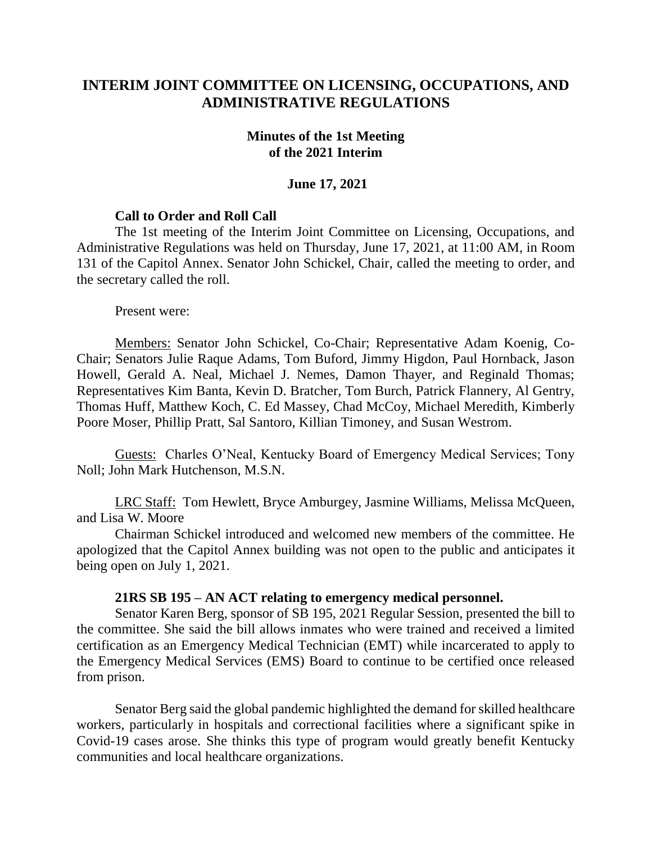# **INTERIM JOINT COMMITTEE ON LICENSING, OCCUPATIONS, AND ADMINISTRATIVE REGULATIONS**

#### **Minutes of the 1st Meeting of the 2021 Interim**

#### **June 17, 2021**

### **Call to Order and Roll Call**

The 1st meeting of the Interim Joint Committee on Licensing, Occupations, and Administrative Regulations was held on Thursday, June 17, 2021, at 11:00 AM, in Room 131 of the Capitol Annex. Senator John Schickel, Chair, called the meeting to order, and the secretary called the roll.

Present were:

Members: Senator John Schickel, Co-Chair; Representative Adam Koenig, Co-Chair; Senators Julie Raque Adams, Tom Buford, Jimmy Higdon, Paul Hornback, Jason Howell, Gerald A. Neal, Michael J. Nemes, Damon Thayer, and Reginald Thomas; Representatives Kim Banta, Kevin D. Bratcher, Tom Burch, Patrick Flannery, Al Gentry, Thomas Huff, Matthew Koch, C. Ed Massey, Chad McCoy, Michael Meredith, Kimberly Poore Moser, Phillip Pratt, Sal Santoro, Killian Timoney, and Susan Westrom.

Guests: Charles O'Neal, Kentucky Board of Emergency Medical Services; Tony Noll; John Mark Hutchenson, M.S.N.

LRC Staff: Tom Hewlett, Bryce Amburgey, Jasmine Williams, Melissa McQueen, and Lisa W. Moore

Chairman Schickel introduced and welcomed new members of the committee. He apologized that the Capitol Annex building was not open to the public and anticipates it being open on July 1, 2021.

#### **21RS SB 195 – AN ACT relating to emergency medical personnel.**

Senator Karen Berg, sponsor of SB 195, 2021 Regular Session, presented the bill to the committee. She said the bill allows inmates who were trained and received a limited certification as an Emergency Medical Technician (EMT) while incarcerated to apply to the Emergency Medical Services (EMS) Board to continue to be certified once released from prison.

Senator Berg said the global pandemic highlighted the demand for skilled healthcare workers, particularly in hospitals and correctional facilities where a significant spike in Covid-19 cases arose. She thinks this type of program would greatly benefit Kentucky communities and local healthcare organizations.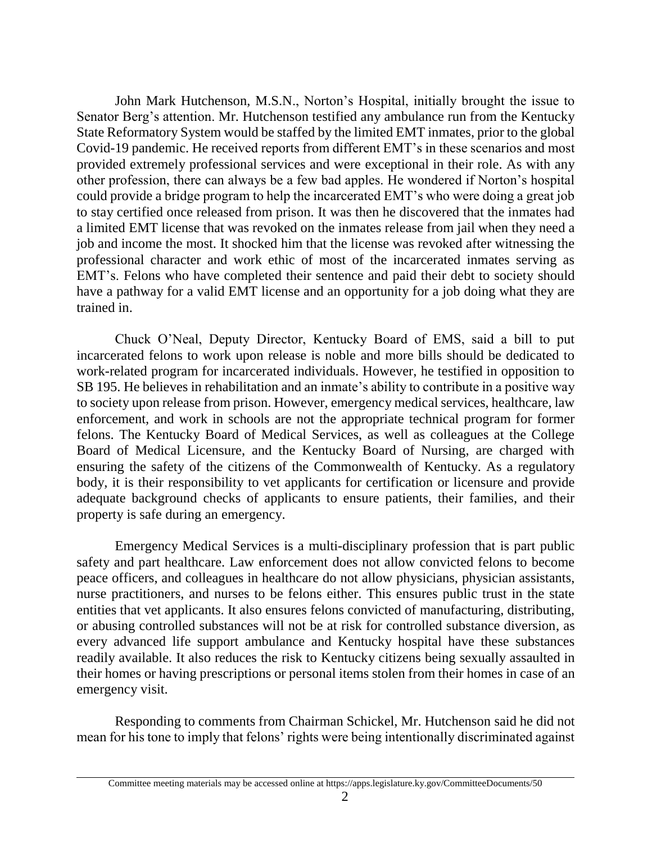John Mark Hutchenson, M.S.N., Norton's Hospital, initially brought the issue to Senator Berg's attention. Mr. Hutchenson testified any ambulance run from the Kentucky State Reformatory System would be staffed by the limited EMT inmates, prior to the global Covid-19 pandemic. He received reports from different EMT's in these scenarios and most provided extremely professional services and were exceptional in their role. As with any other profession, there can always be a few bad apples. He wondered if Norton's hospital could provide a bridge program to help the incarcerated EMT's who were doing a great job to stay certified once released from prison. It was then he discovered that the inmates had a limited EMT license that was revoked on the inmates release from jail when they need a job and income the most. It shocked him that the license was revoked after witnessing the professional character and work ethic of most of the incarcerated inmates serving as EMT's. Felons who have completed their sentence and paid their debt to society should have a pathway for a valid EMT license and an opportunity for a job doing what they are trained in.

Chuck O'Neal, Deputy Director, Kentucky Board of EMS, said a bill to put incarcerated felons to work upon release is noble and more bills should be dedicated to work-related program for incarcerated individuals. However, he testified in opposition to SB 195. He believes in rehabilitation and an inmate's ability to contribute in a positive way to society upon release from prison. However, emergency medical services, healthcare, law enforcement, and work in schools are not the appropriate technical program for former felons. The Kentucky Board of Medical Services, as well as colleagues at the College Board of Medical Licensure, and the Kentucky Board of Nursing, are charged with ensuring the safety of the citizens of the Commonwealth of Kentucky. As a regulatory body, it is their responsibility to vet applicants for certification or licensure and provide adequate background checks of applicants to ensure patients, their families, and their property is safe during an emergency.

Emergency Medical Services is a multi-disciplinary profession that is part public safety and part healthcare. Law enforcement does not allow convicted felons to become peace officers, and colleagues in healthcare do not allow physicians, physician assistants, nurse practitioners, and nurses to be felons either. This ensures public trust in the state entities that vet applicants. It also ensures felons convicted of manufacturing, distributing, or abusing controlled substances will not be at risk for controlled substance diversion, as every advanced life support ambulance and Kentucky hospital have these substances readily available. It also reduces the risk to Kentucky citizens being sexually assaulted in their homes or having prescriptions or personal items stolen from their homes in case of an emergency visit.

Responding to comments from Chairman Schickel, Mr. Hutchenson said he did not mean for his tone to imply that felons' rights were being intentionally discriminated against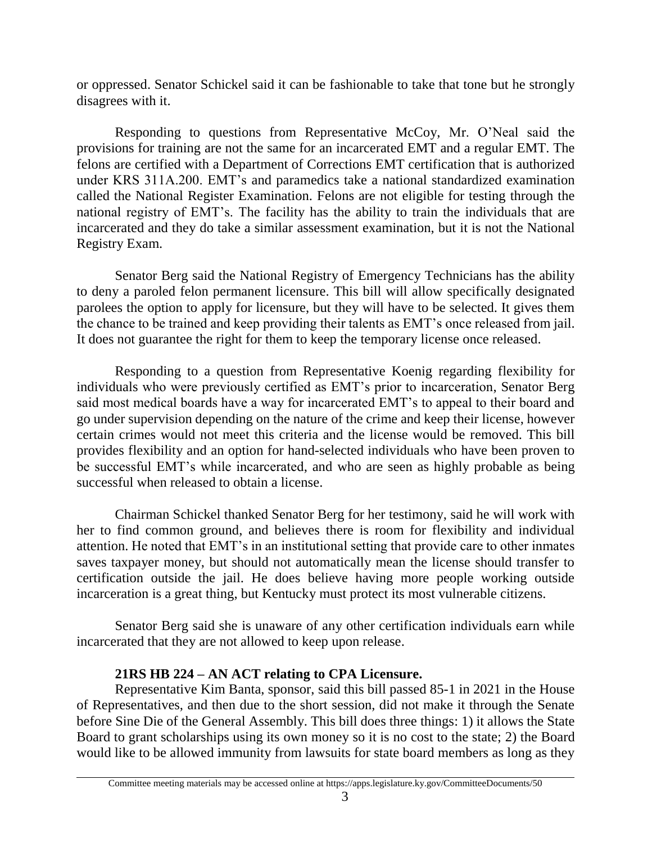or oppressed. Senator Schickel said it can be fashionable to take that tone but he strongly disagrees with it.

Responding to questions from Representative McCoy, Mr. O'Neal said the provisions for training are not the same for an incarcerated EMT and a regular EMT. The felons are certified with a Department of Corrections EMT certification that is authorized under KRS 311A.200. EMT's and paramedics take a national standardized examination called the National Register Examination. Felons are not eligible for testing through the national registry of EMT's. The facility has the ability to train the individuals that are incarcerated and they do take a similar assessment examination, but it is not the National Registry Exam.

Senator Berg said the National Registry of Emergency Technicians has the ability to deny a paroled felon permanent licensure. This bill will allow specifically designated parolees the option to apply for licensure, but they will have to be selected. It gives them the chance to be trained and keep providing their talents as EMT's once released from jail. It does not guarantee the right for them to keep the temporary license once released.

Responding to a question from Representative Koenig regarding flexibility for individuals who were previously certified as EMT's prior to incarceration, Senator Berg said most medical boards have a way for incarcerated EMT's to appeal to their board and go under supervision depending on the nature of the crime and keep their license, however certain crimes would not meet this criteria and the license would be removed. This bill provides flexibility and an option for hand-selected individuals who have been proven to be successful EMT's while incarcerated, and who are seen as highly probable as being successful when released to obtain a license.

Chairman Schickel thanked Senator Berg for her testimony, said he will work with her to find common ground, and believes there is room for flexibility and individual attention. He noted that EMT's in an institutional setting that provide care to other inmates saves taxpayer money, but should not automatically mean the license should transfer to certification outside the jail. He does believe having more people working outside incarceration is a great thing, but Kentucky must protect its most vulnerable citizens.

Senator Berg said she is unaware of any other certification individuals earn while incarcerated that they are not allowed to keep upon release.

# **21RS HB 224 – AN ACT relating to CPA Licensure.**

Representative Kim Banta, sponsor, said this bill passed 85-1 in 2021 in the House of Representatives, and then due to the short session, did not make it through the Senate before Sine Die of the General Assembly. This bill does three things: 1) it allows the State Board to grant scholarships using its own money so it is no cost to the state; 2) the Board would like to be allowed immunity from lawsuits for state board members as long as they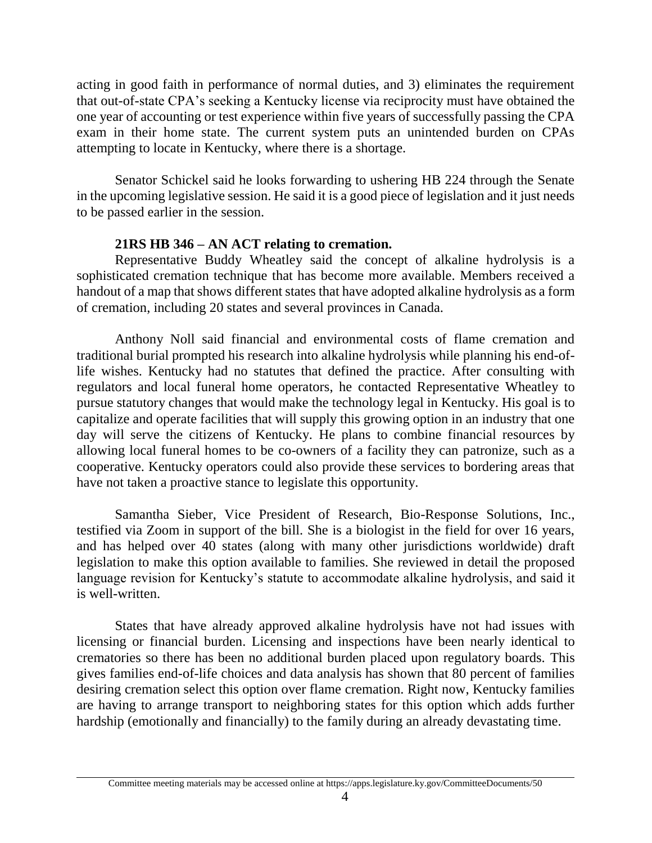acting in good faith in performance of normal duties, and 3) eliminates the requirement that out-of-state CPA's seeking a Kentucky license via reciprocity must have obtained the one year of accounting or test experience within five years of successfully passing the CPA exam in their home state. The current system puts an unintended burden on CPAs attempting to locate in Kentucky, where there is a shortage.

Senator Schickel said he looks forwarding to ushering HB 224 through the Senate in the upcoming legislative session. He said it is a good piece of legislation and it just needs to be passed earlier in the session.

### **21RS HB 346 – AN ACT relating to cremation.**

Representative Buddy Wheatley said the concept of alkaline hydrolysis is a sophisticated cremation technique that has become more available. Members received a handout of a map that shows different states that have adopted alkaline hydrolysis as a form of cremation, including 20 states and several provinces in Canada.

Anthony Noll said financial and environmental costs of flame cremation and traditional burial prompted his research into alkaline hydrolysis while planning his end-oflife wishes. Kentucky had no statutes that defined the practice. After consulting with regulators and local funeral home operators, he contacted Representative Wheatley to pursue statutory changes that would make the technology legal in Kentucky. His goal is to capitalize and operate facilities that will supply this growing option in an industry that one day will serve the citizens of Kentucky. He plans to combine financial resources by allowing local funeral homes to be co-owners of a facility they can patronize, such as a cooperative. Kentucky operators could also provide these services to bordering areas that have not taken a proactive stance to legislate this opportunity.

Samantha Sieber, Vice President of Research, Bio-Response Solutions, Inc., testified via Zoom in support of the bill. She is a biologist in the field for over 16 years, and has helped over 40 states (along with many other jurisdictions worldwide) draft legislation to make this option available to families. She reviewed in detail the proposed language revision for Kentucky's statute to accommodate alkaline hydrolysis, and said it is well-written.

States that have already approved alkaline hydrolysis have not had issues with licensing or financial burden. Licensing and inspections have been nearly identical to crematories so there has been no additional burden placed upon regulatory boards. This gives families end-of-life choices and data analysis has shown that 80 percent of families desiring cremation select this option over flame cremation. Right now, Kentucky families are having to arrange transport to neighboring states for this option which adds further hardship (emotionally and financially) to the family during an already devastating time.

Committee meeting materials may be accessed online at https://apps.legislature.ky.gov/CommitteeDocuments/50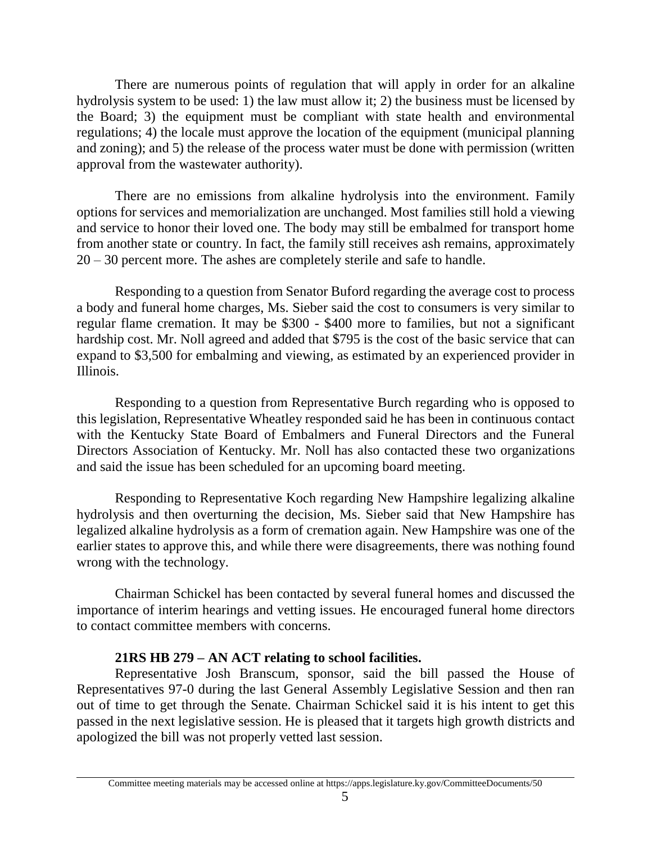There are numerous points of regulation that will apply in order for an alkaline hydrolysis system to be used: 1) the law must allow it; 2) the business must be licensed by the Board; 3) the equipment must be compliant with state health and environmental regulations; 4) the locale must approve the location of the equipment (municipal planning and zoning); and 5) the release of the process water must be done with permission (written approval from the wastewater authority).

There are no emissions from alkaline hydrolysis into the environment. Family options for services and memorialization are unchanged. Most families still hold a viewing and service to honor their loved one. The body may still be embalmed for transport home from another state or country. In fact, the family still receives ash remains, approximately 20 – 30 percent more. The ashes are completely sterile and safe to handle.

Responding to a question from Senator Buford regarding the average cost to process a body and funeral home charges, Ms. Sieber said the cost to consumers is very similar to regular flame cremation. It may be \$300 - \$400 more to families, but not a significant hardship cost. Mr. Noll agreed and added that \$795 is the cost of the basic service that can expand to \$3,500 for embalming and viewing, as estimated by an experienced provider in Illinois.

Responding to a question from Representative Burch regarding who is opposed to this legislation, Representative Wheatley responded said he has been in continuous contact with the Kentucky State Board of Embalmers and Funeral Directors and the Funeral Directors Association of Kentucky. Mr. Noll has also contacted these two organizations and said the issue has been scheduled for an upcoming board meeting.

Responding to Representative Koch regarding New Hampshire legalizing alkaline hydrolysis and then overturning the decision, Ms. Sieber said that New Hampshire has legalized alkaline hydrolysis as a form of cremation again. New Hampshire was one of the earlier states to approve this, and while there were disagreements, there was nothing found wrong with the technology.

Chairman Schickel has been contacted by several funeral homes and discussed the importance of interim hearings and vetting issues. He encouraged funeral home directors to contact committee members with concerns.

#### **21RS HB 279 – AN ACT relating to school facilities.**

Representative Josh Branscum, sponsor, said the bill passed the House of Representatives 97-0 during the last General Assembly Legislative Session and then ran out of time to get through the Senate. Chairman Schickel said it is his intent to get this passed in the next legislative session. He is pleased that it targets high growth districts and apologized the bill was not properly vetted last session.